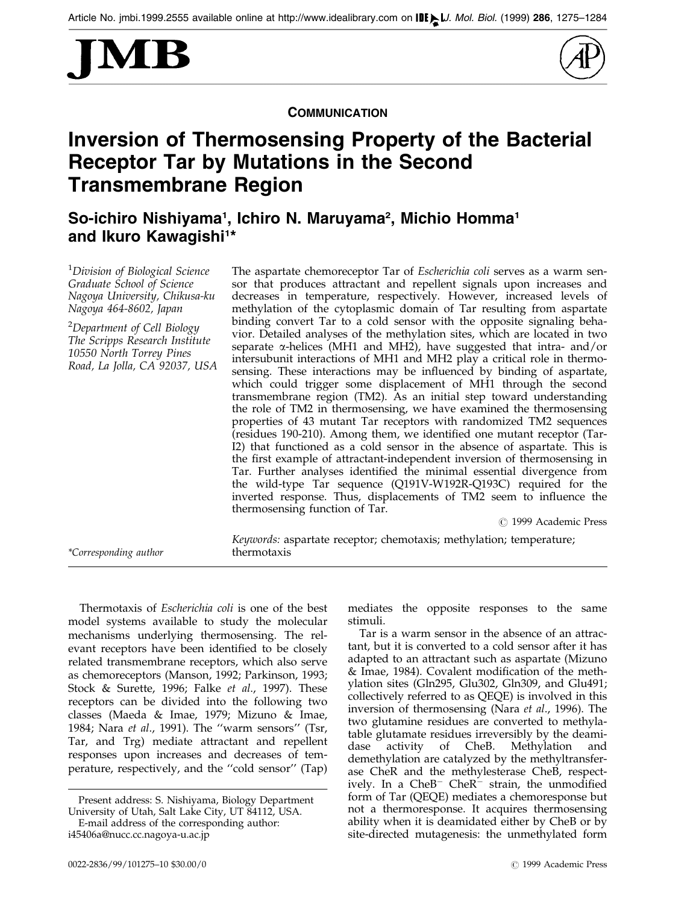



**COMMUNICATION** 

## Inversion of Thermosensing Property of the Bacterial Receptor Tar by Mutations in the Second Transmembrane Region

So-ichiro Nishiyama<sup>1</sup>, Ichiro N. Maruyama<sup>2</sup>, Michio Homma<sup>1</sup> and Ikuro Kawagishi<sup>1</sup>\*

<sup>1</sup>Division of Biological Science Graduate School of Science Nagoya University, Chikusa-ku Nagoya 464-8602, Japan

<sup>2</sup>Department of Cell Biology The Scripps Research Institute 10550 North Torrey Pines Road, La Jolla, CA 92037, USA

\*Corresponding author

The aspartate chemoreceptor Tar of Escherichia coli serves as a warm sensor that produces attractant and repellent signals upon increases and decreases in temperature, respectively. However, increased levels of methylation of the cytoplasmic domain of Tar resulting from aspartate binding convert Tar to a cold sensor with the opposite signaling behavior. Detailed analyses of the methylation sites, which are located in two separate  $\alpha$ -helices (MH1 and MH2), have suggested that intra- and/or intersubunit interactions of MH1 and MH2 play a critical role in thermosensing. These interactions may be influenced by binding of aspartate, which could trigger some displacement of MH1 through the second transmembrane region (TM2). As an initial step toward understanding the role of TM2 in thermosensing, we have examined the thermosensing properties of 43 mutant Tar receptors with randomized TM2 sequences (residues 190-210). Among them, we identified one mutant receptor (Tar-I2) that functioned as a cold sensor in the absence of aspartate. This is the first example of attractant-independent inversion of thermosensing in Tar. Further analyses identified the minimal essential divergence from the wild-type Tar sequence (Q191V-W192R-Q193C) required for the inverted response. Thus, displacements of TM2 seem to influence the thermosensing function of Tar.

© 1999 Academic Press

Keywords: aspartate receptor; chemotaxis; methylation; temperature;

Thermotaxis of Escherichia coli is one of the best model systems available to study the molecular mechanisms underlying thermosensing. The relevant receptors have been identified to be closely related transmembrane receptors, which also serve as chemoreceptors [\(Manson,](#page-8-0) 1992; [Parkinso](#page-9-0)n, 1993; [Stock &](#page-9-0) Surette, 1996; [Falke](#page-8-0) et al., 1997). These receptors can be divided into the following two classes [\(Maeda &](#page-8-0) Imae, 1979; [Mizuno](#page-8-0) & Imae, 1984; [Nara](#page-8-0) et al., 1991). The "warm sensors" (Tsr, Tar, and Trg) mediate attractant and repellent responses upon increases and decreases of temperature, respectively, and the "cold sensor" (Tap)

E-mail address of the corresponding author:

mediates the opposite responses to the same stimuli.

Tar is a warm sensor in the absence of an attractant, but it is converted to a cold sensor after it has adapted to an attractant such as aspartate [\(Mizuno](#page-8-0) & Imae, 1984). Covalent modification of the methylation sites (Gln295, Glu302, Gln309, and Glu491; collectively referred to as QEQE) is involved in this inversion of thermosensing [\(Nara](#page-8-0) et al., 1996). The two glutamine residues are converted to methylatable glutamate residues irreversibly by the deamidase activity of CheB. Methylation and demethylation are catalyzed by the methyltransferase CheR and the methylesterase CheB, respectively. In a  $CheB^-$  CheR $^-$  strain, the unmodified form of Tar (QEQE) mediates a chemoresponse but not a thermoresponse. It acquires thermosensing ability when it is deamidated either by CheB or by site-directed mutagenesis: the unmethylated form

Present address: S. Nishiyama, Biology Department University of Utah, Salt Lake City, UT 84112, USA.

i45406a@nucc.cc.nagoya-u.ac.jp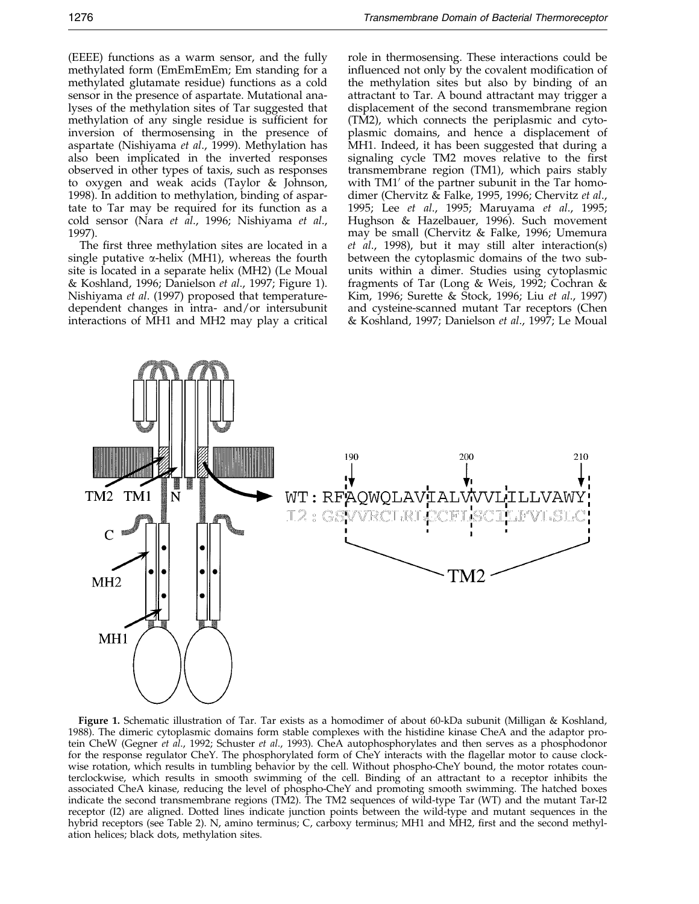<span id="page-1-0"></span>(EEEE) functions as a warm sensor, and the fully methylated form (EmEmEmEm; Em standing for a methylated glutamate residue) functions as a cold sensor in the presence of aspartate. Mutational analyses of the methylation sites of Tar suggested that methylation of any single residue is sufficient for inversion of thermosensing in the presence of aspartate [\(Nishiyam](#page-9-0)a et al., 1999). Methylation has also been implicated in the inverted responses observed in other types of taxis, such as responses to oxygen and weak acids [\(Taylor &](#page-9-0) Johnson, 1998). In addition to methylation, binding of aspartate to Tar may be required for its function as a cold sensor [\(Nara](#page-8-0) et al., 1996; [Nishiyam](#page-8-0)a et al., 1997).

The first three methylation sites are located in a single putative  $\alpha$ -helix (MH1), whereas the fourth site is located in a separate helix (MH2) (Le Moual & Koshland, 1996; [Danielso](#page-8-0)n et al., 1997; Figure 1). [Nishiyam](#page-8-0)a et al. (1997) proposed that temperaturedependent changes in intra- and/or intersubunit interactions of MH1 and MH2 may play a critical role in thermosensing. These interactions could be influenced not only by the covalent modification of the methylation sites but also by binding of an attractant to Tar. A bound attractant may trigger a displacement of the second transmembrane region (TM2), which connects the periplasmic and cytoplasmic domains, and hence a displacement of MH1. Indeed, it has been suggested that during a signaling cycle TM2 moves relative to the first transmembrane region (TM1), which pairs stably with  $TM1'$  of the partner subunit in the Tar homodimer [\(Chervitz](#page-8-0) & Falke, 199[5, 1996; Chervitz](#page-8-0) et al., 1995; [Lee](#page-8-0) et al., 1995; [Maruyam](#page-8-0)a et al., 1995; [Hughson](#page-8-0) & Hazelbauer, 1996). Such movement may be small [\(Chervitz](#page-8-0) & Falke, 1996; [Umemur](#page-9-0)a et al., 1998), but it may still alter interaction(s) between the cytoplasmic domains of the two subunits within a dimer. Studies using cytoplasmic fragments of Tar [\(Long &](#page-8-0) Weis, 1992; [Cochran](#page-8-0) & Kim, 1996; [Surette &](#page-9-0) Stock, 1996; Liu [et al](#page-8-0)., 1997) and cysteine-scanned mutant Tar receptors [\(Chen](#page-8-0) & Koshland, 1997; [Danielso](#page-8-0)n et al., 1997; Le Moual



Figure 1. Schematic illustration of Tar. Tar exists as a homodimer of about 60-kDa subunit [\(Milligan &](#page-8-0) Koshland, 1988). The dimeric cytoplasmic domains form stable complexes with the histidine kinase CheA and the adaptor pro-tein CheW [\(Gegner](#page-8-0) et al., 1992; [Schuster](#page-9-0) et al., 1993). CheA autophosphorylates and then serves as a phosphodonor for the response regulator CheY. The phosphorylated form of CheY interacts with the flagellar motor to cause clockwise rotation, which results in tumbling behavior by the cell. Without phospho-CheY bound, the motor rotates counterclockwise, which results in smooth swimming of the cell. Binding of an attractant to a receptor inhibits the associated CheA kinase, reducing the level of phospho-CheY and promoting smooth swimming. The hatched boxes indicate the second transmembrane regions (TM2). The TM2 sequences of wild-type Tar (WT) and the mutant Tar-I2 receptor (I2) are aligned. Dotted lines indicate junction points between the wild-type and mutant sequences in the hybrid receptors (see [Table 2\).](#page-4-0) N, amino terminus; C, carboxy terminus; MH1 and MH2, first and the second methylation helices; black dots, methylation sites.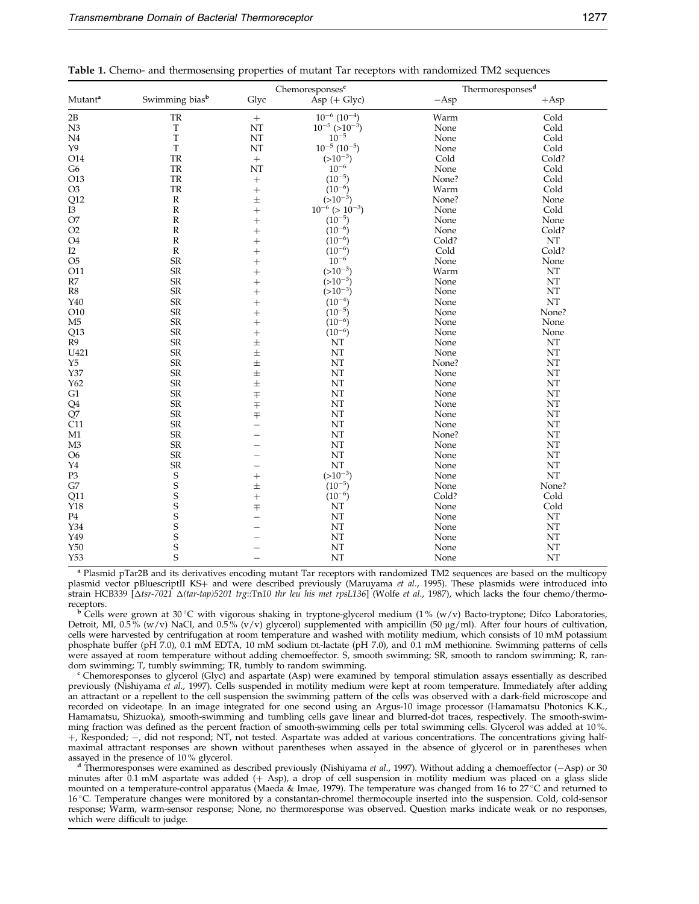<span id="page-2-0"></span>

|  |  | <b>Table 1.</b> Chemo- and thermosensing properties of mutant Tar receptors with randomized TM2 sequences |  |  |  |  |  |
|--|--|-----------------------------------------------------------------------------------------------------------|--|--|--|--|--|
|  |  |                                                                                                           |  |  |  |  |  |

|                     |                            |                          | Chemoresponses <sup>c</sup> | Thermoresponses <sup>d</sup> |               |  |
|---------------------|----------------------------|--------------------------|-----------------------------|------------------------------|---------------|--|
| Mutant <sup>a</sup> | Swimming bias <sup>b</sup> | Glyc                     | $\overline{Asp}$ (+ Glyc)   | $-Asp$                       | $+$ Asp       |  |
| $2\mathrm{B}$       | ${\rm TR}$                 | $\ddot{}$                | $10^{-6}$ $(10^{-4})$       | Warm                         | Cold          |  |
| N <sub>3</sub>      | $\mathbf T$                | NT                       | $10^{-5}$ (> $10^{-3}$ )    | None                         | Cold          |  |
| $\rm N4$            | T                          | NT                       | $10^{-5}$                   | None                         | Cold          |  |
| Y9                  | T                          | NT                       | $10^{-5}$ $(10^{-5})$       | None                         | Cold          |  |
| O14                 | TR                         | $+$                      | $(>10^{-3})$                | Cold                         | Cold?         |  |
| ${\rm G6}$          | ${\rm TR}$                 | NT                       | $10^{-6}$                   | None                         | Cold          |  |
| O13                 | ${\rm TR}$                 | $+$                      | $(10^{-5})$                 | None?                        | Cold          |  |
| O <sub>3</sub>      | TR                         | $^{+}$                   | $(10^{-6})$                 | Warm                         | Cold          |  |
| Q12                 | ${\bf R}$                  | $\pm$                    | $(>10^{-3})$                | None?                        | None          |  |
| $\overline{13}$     | $\ensuremath{\mathsf{R}}$  |                          | $10^{-6}$ (> $10^{-3}$ )    | None                         | Cold          |  |
|                     |                            | $^{+}$                   |                             | None                         |               |  |
| O7                  | ${\mathbb R}$              | $^{+}$                   | $(10^{-5})$                 |                              | None          |  |
| O2                  | ${\bf R}$                  | $^{+}$                   | $(10^{-6})$                 | None                         | Cold?         |  |
| O <sub>4</sub>      | ${\bf R}$                  | $^{+}$                   | $(10^{-6})$                 | Cold?                        | $\mathbf{NT}$ |  |
| I2                  | ${\bf R}$                  | $\ddot{}$                | $(10^{-6})$                 | Cold                         | Cold?         |  |
| O <sub>5</sub>      | SR                         | $^{+}$                   | $10^{-6}$                   | None                         | None          |  |
| O11                 | <b>SR</b>                  | $^{+}$                   | $(>10^{-3})$                | Warm                         | NT            |  |
| $\mathbb{R}7$       | SR                         | $^{+}$                   | $(>10^{-3})$                | None                         | NT            |  |
| R8                  | ${\rm SR}$                 | $^{+}$                   | $(>10^{-3})$                | None                         | NT            |  |
| Y40                 | SR                         | $^{+}$                   | $(10^{-4})$                 | None                         | NT            |  |
| O10                 | SR                         | $^{+}$                   | $(10^{-5})$                 | None                         | None?         |  |
| M <sub>5</sub>      | $\rm SR$                   | $^{+}$                   | $(10^{-6})$                 | None                         | None          |  |
| Q13                 | $S{\mathbb R}$             | $^{+}$                   | $(10^{-6})$                 | None                         | None          |  |
| R <sub>9</sub>      | <b>SR</b>                  | $\pm$                    | NT                          | None                         | NT            |  |
| U421                | $S{\mathbb R}$             | $\pm$                    | NT                          | None                         | NT            |  |
| Y5                  | $S{\mathbb R}$             | $\pm$                    | NT                          | None?                        | NT            |  |
| Y37                 | SR                         | $\pm$                    | NT                          | None                         | NT            |  |
| Y62                 | $\rm SR$                   | $\pm$                    | NT                          | None                         | NT            |  |
| G1                  | $\rm SR$                   | $\bar{+}$                | NT                          | None                         | NT            |  |
| Q <sub>4</sub>      | ${\sf SR}$                 | $\bar{+}$                | NT                          | None                         | NT            |  |
| $\overline{Q}$ 7    | ${\rm SR}$                 | $\mp$                    | NT                          | None                         | NT            |  |
| C11                 | $\rm SR$                   | $\overline{\phantom{0}}$ | NT                          | None                         | NT            |  |
| M1                  | $\rm SR$                   |                          | NT                          | None?                        | NT            |  |
| M <sub>3</sub>      | $\rm SR$                   |                          | NT                          | None                         | NT            |  |
| O <sub>6</sub>      | SR                         |                          | NT                          | None                         | NT            |  |
| Y <sub>4</sub>      | SR                         |                          | NT                          | None                         | NT            |  |
| P <sub>3</sub>      | $\mathbf S$                | $^{+}$                   | $(>10^{-3})$                | None                         | NT            |  |
| G7                  |                            | $\pm$                    | $(10^{-5})$                 | None                         | None?         |  |
| Q11                 | $\frac{S}{S}$              | $^{+}$                   | $(10^{-6})$                 | Cold?                        | Cold          |  |
| Y18                 | S                          | 王                        | $\rm{NT}$                   | None                         | Cold          |  |
| P <sub>4</sub>      | $\mathsf S$                |                          | NT                          | None                         | NT            |  |
| Y34                 | $\overline{\mathbf{s}}$    |                          | NT                          | None                         | NT            |  |
| Y49                 | $\overline{\mathbf{s}}$    |                          | NT                          | None                         | NT            |  |
|                     | S                          |                          | NT                          | None                         | NT            |  |
| Y50                 | $\overline{\mathsf{S}}$    |                          |                             |                              |               |  |
| Y53                 |                            | $\overline{\phantom{0}}$ | NT                          | None                         | NT            |  |

<sup>a</sup> Plasmid pTar2B and its derivatives encoding mutant Tar receptors with randomized TM2 sequences are based on the multicopy plasmid vector pBluescriptII KS+ and were described previously [\(Maruyama](#page-8-0) et al., 1995). These plasmids were introduced into strain HCB339 [ $\Delta t$ sr-7021  $\Delta (tar-tap)$ 5201 trg::Tn10 thr leu his met rpsL136] [\(Wolfe](#page-9-0) et al., 1987), which lacks the four chemo/thermoreceptors.<br><sup>b</sup> Cells were grown at 30 °C with vigorous shaking in tryptone-glycerol medium (1 % (w/v) Bacto-tryptone; Difco Laboratories,

Detroit, MI, 0.5% (w/v) NaCl, and 0.5% (v/v) glycerol) supplemented with ampicillin (50 µg/ml). After four hours of cultivation, cells were harvested by centrifugation at room temperature and washed with motility medium, which consists of 10 mM potassium phosphate buffer (pH 7.0), 0.1 mM EDTA, 10 mM sodium DL-lactate (pH 7.0), and 0.1 mM methionine. Swimming patterns of cells were assayed at room temperature without adding chemoeffector. S, smooth swimming; SR, smooth to random swimming; R, ran-<br>dom swimming; T, tumbly swimming; TR, tumbly to random swimming.

<sup>c</sup> Chemoresponses to glycerol (Glyc) and aspartate (Asp) were examined by temporal stimulation assays essentially as described previously [\(Nishiyama](#page-8-0) et al., 1997). Cells suspended in motility medium were kept at room temperature. Immediately after adding an attractant or a repellent to the cell suspension the swimming pattern of the cells was observed with a dark-field microscope and recorded on videotape. In an image integrated for one second using an Argus-10 image processor (Hamamatsu Photonics K.K., Hamamatsu, Shizuoka), smooth-swimming and tumbling cells gave linear and blurred-dot traces, respectively. The smooth-swimming fraction was defined as the percent fraction of smooth-swimming cells per total swimming cells. Glycerol was added at 10%. +, Responded; -, did not respond; NT, not tested. Aspartate was added at various concentrations. The concentrations giving halfmaximal attractant responses are shown without parentheses when assayed in the absence of glycerol or in parentheses when assayed in the presence of 10% glycerol.

<sup>d</sup> Thermoresponses were examined as described previously [\(Nishiyama](#page-8-0) *et al.*, 1997). Without adding a chemoeffector ( $-\text{Asp}$ ) or 30 minutes after 0.1 mM aspartate was added (+ Asp), a drop of cell suspension in motility medium was placed on a glass slide mounted on a temperature-control apparatus [\(Maeda & I](#page-8-0)mae, 1979). The temperature was changed from 16 to 27 °C and returned to 16 C. Temperature changes were monitored by a constantan-chromel thermocouple inserted into the suspension. Cold, cold-sensor response; Warm, warm-sensor response; None, no thermoresponse was observed. Question marks indicate weak or no responses, which were difficult to judge.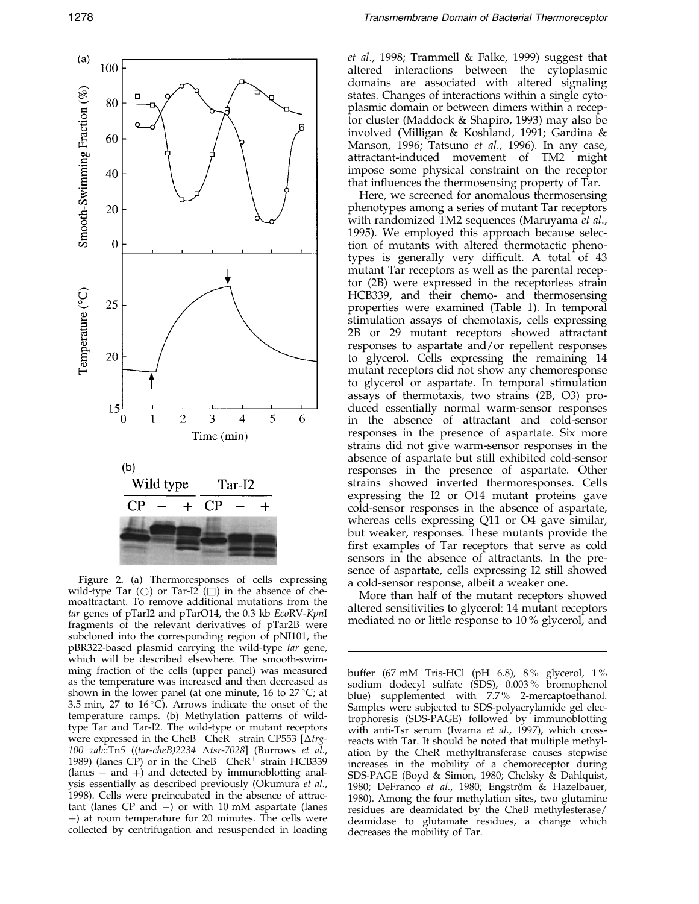<span id="page-3-0"></span>

Figure 2. (a) Thermoresponses of cells expressing wild-type Tar  $(\bigcirc)$  or Tar-I2  $(\bigcap)$  in the absence of chemoattractant. To remove additional mutations from the tar genes of pTarI2 and pTarO14, the 0.3 kb EcoRV-KpnI fragments of the relevant derivatives of pTar2B were subcloned into the corresponding region of pNI101, the pBR322-based plasmid carrying the wild-type tar gene, which will be described elsewhere. The smooth-swimming fraction of the cells (upper panel) was measured as the temperature was increased and then decreased as shown in the lower panel (at one minute, 16 to  $27^{\circ}$ C; at 3.5 min, 27 to  $16^{\circ}$ C). Arrows indicate the onset of the temperature ramps. (b) Methylation patterns of wildtype Tar and Tar-I2. The wild-type or mutant receptors were expressed in the CheB<sup>-</sup> CheR<sup>-</sup> strain CP553 [ $\Delta trg$ -100 zab::Tn5 ((tar-cheB)2234  $\Delta t$ sr-7028] [\(Burrows](#page-8-0) et al., 1989) (lanes CP) or in the Che $B^+$  Che $R^+$  strain HCB339  $(lanes - and +)$  and detected by immunoblotting analysis essentially as described previously [\(Okumura](#page-9-0) et al., 1998). Cells were preincubated in the absence of attractant (lanes  $CP$  and  $-$ ) or with 10 mM aspartate (lanes ) at room temperature for 20 minutes. The cells were collected by centrifugation and resuspended in loading

et al., 1998; [Trammel](#page-9-0)l & Falke, 1999) suggest that altered interactions between the cytoplasmic domains are associated with altered signaling states. Changes of interactions within a single cytoplasmic domain or between dimers within a receptor cluster [\(Maddock](#page-8-0) & Shapiro, 1993) may also be involved [\(Milligan](#page-8-0) & Koshland, 1991; [Gardina](#page-8-0) & Manson, 1996; [Tatsuno](#page-9-0) et al., 1996). In any case, attractant-induced movement of TM2 might impose some physical constraint on the receptor that influences the thermosensing property of Tar.

Here, we screened for anomalous thermosensing phenotypes among a series of mutant Tar receptors with randomized TM2 sequences [\(Maruyam](#page-8-0)a et al., 1995). We employed this approach because selection of mutants with altered thermotactic phenotypes is generally very difficult. A total of 43 mutant Tar receptors as well as the parental receptor (2B) were expressed in the receptorless strain HCB339, and their chemo- and thermosensing properties were examined [\(Table 1\)](#page-2-0). In temporal stimulation assays of chemotaxis, cells expressing 2B or 29 mutant receptors showed attractant responses to aspartate and/or repellent responses to glycerol. Cells expressing the remaining 14 mutant receptors did not show any chemoresponse to glycerol or aspartate. In temporal stimulation assays of thermotaxis, two strains (2B, O3) produced essentially normal warm-sensor responses in the absence of attractant and cold-sensor responses in the presence of aspartate. Six more strains did not give warm-sensor responses in the absence of aspartate but still exhibited cold-sensor responses in the presence of aspartate. Other strains showed inverted thermoresponses. Cells expressing the I2 or O14 mutant proteins gave cold-sensor responses in the absence of aspartate, whereas cells expressing Q11 or O4 gave similar, but weaker, responses. These mutants provide the first examples of Tar receptors that serve as cold sensors in the absence of attractants. In the presence of aspartate, cells expressing I2 still showed a cold-sensor response, albeit a weaker one.

More than half of the mutant receptors showed altered sensitivities to glycerol: 14 mutant receptors mediated no or little response to 10 % glycerol, and

buffer (67 mM Tris-HCl (pH 6.8), 8 % glycerol, 1 % sodium dodecyl sulfate (SDS), 0.003% bromophenol blue) supplemented with 7.7 % 2-mercaptoethanol. Samples were subjected to SDS-polyacrylamide gel electrophoresis (SDS-PAGE) followed by immunoblotting with anti-Tsr serum [\(Iwama](#page-8-0) et al., 1997), which crossreacts with Tar. It should be noted that multiple methylation by the CheR methyltransferase causes stepwise increases in the mobility of a chemoreceptor during SDS-PAGE [\(Boyd & S](#page-7-0)imon, 1980; [Chelsky &](#page-8-0) Dahlquist, 1980; [DeFranco](#page-8-0) et al., 1980; Engström & Hazelbauer, 1980). Among the four methylation sites, two glutamine residues are deamidated by the CheB methylesterase/ deamidase to glutamate residues, a change which decreases the mobility of Tar.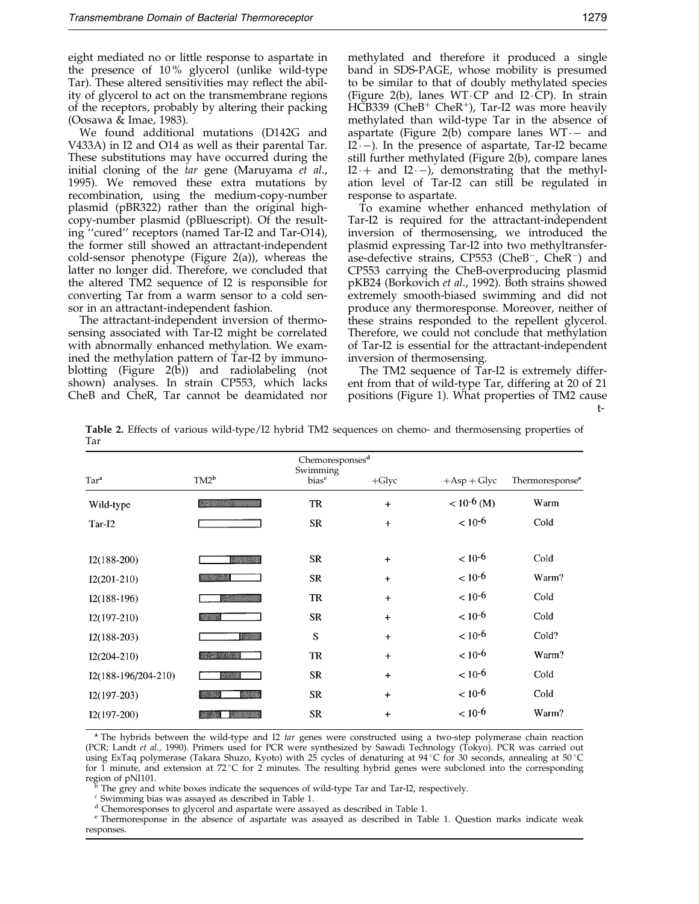<span id="page-4-0"></span>eight mediated no or little response to aspartate in the presence of 10 % glycerol (unlike wild-type Tar). These altered sensitivities may reflect the ability of glycerol to act on the transmembrane regions of the receptors, probably by altering their packing [\(Oosawa](#page-9-0) & Imae, 1983).

We found additional mutations (D142G and V433A) in I2 and O14 as well as their parental Tar. These substitutions may have occurred during the initial cloning of the tar gene [\(Maruyam](#page-8-0)a et al., 1995). We removed these extra mutations by recombination, using the medium-copy-number plasmid (pBR322) rather than the original highcopy-number plasmid (pBluescript). Of the resulting "cured" receptors (named Tar-I2 and Tar-O14), the former still showed an attractant-independent cold-sensor phenotype [\(Figure 2](#page-3-0)(a)), whereas the latter no longer did. Therefore, we concluded that the altered TM2 sequence of I2 is responsible for converting Tar from a warm sensor to a cold sensor in an attractant-independent fashion.

The attractant-independent inversion of thermosensing associated with Tar-I2 might be correlated with abnormally enhanced methylation. We examined the methylation pattern of Tar-I2 by immuno-blotting [\(Figure](#page-3-0)  $2(b)$ ) and radiolabeling (not shown) analyses. In strain CP553, which lacks CheB and CheR, Tar cannot be deamidated nor methylated and therefore it produced a single band in SDS-PAGE, whose mobility is presumed to be similar to that of doubly methylated species [\(Figure 2](#page-3-0)(b), lanes  $WT\ CP$  and  $I2\ CP$ ). In strain  $HCB339$  (CheB<sup>+</sup> CheR<sup>+</sup>), Tar-I2 was more heavily methylated than wild-type Tar in the absence of aspartate [\(Figure 2](#page-3-0)(b) compare lanes  $WT -$  and I2 $\cdot$ –). In the presence of aspartate, Tar-I2 became still further methylated [\(Figure 2\(](#page-3-0)b), compare lanes  $I2 +$  and  $I2 -$ ), demonstrating that the methylation level of Tar-I2 can still be regulated in response to aspartate.

To examine whether enhanced methylation of Tar-I2 is required for the attractant-independent inversion of thermosensing, we introduced the plasmid expressing Tar-I2 into two methyltransferase-defective strains,  $CP553$  (CheB<sup>-</sup>, CheR<sup>-</sup>) and CP553 carrying the CheB-overproducing plasmid pKB24 [\(Borkovic](#page-7-0)h et al., 1992). Both strains showed extremely smooth-biased swimming and did not produce any thermoresponse. Moreover, neither of these strains responded to the repellent glycerol. Therefore, we could not conclude that methylation of Tar-I2 is essential for the attractant-independent inversion of thermosensing.

The TM2 sequence of Tar-I2 is extremely different from that of wild-type Tar, differing at 20 of 21 positions [\(Figure 1\)](#page-1-0). What properties of TM2 cause t-

Table 2. Effects of various wild-type/I2 hybrid TM2 sequences on chemo- and thermosensing properties of Tar

| Chemoresponses <sup>d</sup> |                                                                                                                      |                               |           |                 |                             |  |  |
|-----------------------------|----------------------------------------------------------------------------------------------------------------------|-------------------------------|-----------|-----------------|-----------------------------|--|--|
| Tar <sup>a</sup>            | $TM2^b$                                                                                                              | Swimming<br>bias <sup>c</sup> | $+G$ lyc  | $+Asp+Glyc$     | Thermoresponse <sup>e</sup> |  |  |
| Wild-type                   |                                                                                                                      | TR                            | $+$       | $< 10^{-6}$ (M) | Warm                        |  |  |
| Tar-I2                      |                                                                                                                      | <b>SR</b>                     | $+$       | $< 10^{-6}$     | Cold                        |  |  |
| $I2(188-200)$               | <u>e ali seria di seria di seria di seria di seria di seria di seria di seria di seria di seria di seria di seri</u> | <b>SR</b>                     | $\ddot{}$ | $< 10^{-6}$     | Cold                        |  |  |
| $I2(201-210)$               | ▓▓▓▓                                                                                                                 | <b>SR</b>                     | $+$       | $< 10^{-6}$     | Warm?                       |  |  |
| $I2(188-196)$               | <u>saan maanaan</u>                                                                                                  | <b>TR</b>                     | $+$       | $< 10^{-6}$     | Cold                        |  |  |
| $I2(197-210)$               | ₩                                                                                                                    | <b>SR</b>                     | $+$       | $< 10^{-6}$     | Cold                        |  |  |
| $I2(188-203)$               | <u>mana</u>                                                                                                          | ${\bf S}$                     | $+$       | $< 10^{-6}$     | Cold?                       |  |  |
| $I2(204-210)$               | <u> Sidayaya Mill</u>                                                                                                | <b>TR</b>                     | $+$       | $< 10^{-6}$     | Warm?                       |  |  |
| I2(188-196/204-210)         | ▒                                                                                                                    | <b>SR</b>                     | $+$       | $< 10^{-6}$     | Cold                        |  |  |
| $I2(197-203)$               | <u>www.</u><br>William                                                                                               | <b>SR</b>                     | $+$       | $< 10^{-6}$     | Cold                        |  |  |
| $I2(197-200)$               | ▒▒                                                                                                                   | <b>SR</b>                     | $+$       | $< 10^{-6}$     | Warm?                       |  |  |
|                             |                                                                                                                      |                               |           |                 |                             |  |  |

<sup>a</sup> The hybrids between the wild-type and I2 tar genes were constructed using a two-step polymerase chain reaction (PCR; [Landt](#page-8-0) et al., 1990). Primers used for PCR were synthesized by Sawadi Technology (Tokyo). PCR was carried out using ExTaq polymerase (Takara Shuzo, Kyoto) with 25 cycles of denaturing at 94 °C for 30 seconds, annealing at 50 °C for 1 minute, and extension at 72 °C for 2 minutes. The resulting hybrid genes were subcloned into the corresponding region of pNI101.<br>  $\frac{1}{2}$  The crow and white have indicated the

The grey and white boxes indicate the sequences of wild-type Tar and Tar-I2, respectively.

<sup>c</sup> Swimming bias was assayed as described in [Table 1.](#page-2-0)<br><sup>d</sup> Chemoresponses to glycerol and aspartate were assayed as described in Table 1.

<sup>e</sup> Thermoresponse in the absence of aspartate was assayed as described i[n Table 1.](#page-2-0) Question marks indicate weak responses.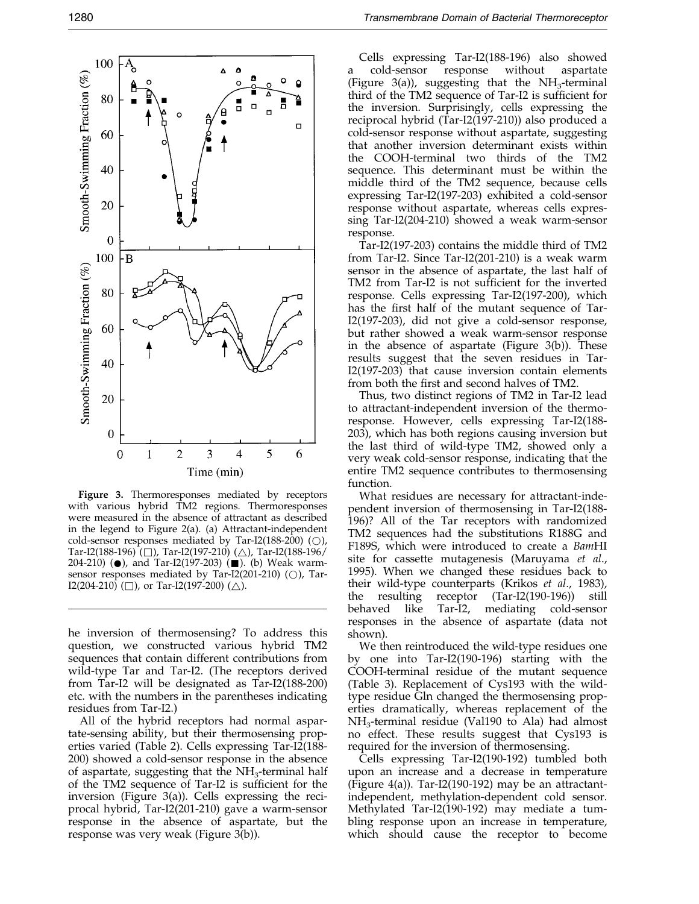

Figure 3. Thermoresponses mediated by receptors with various hybrid TM2 regions. Thermoresponses were measured in the absence of attractant as described in the legend to [Figure 2\(a](#page-3-0)). (a) Attractant-independent cold-sensor responses mediated by Tar-I2(188-200) ( $\bigcirc$ ), Tar-I2(188-196) (□), Tar-I2(197-210) (△), Tar-I2(188-196/ 204-210) ( $\bullet$ ), and Tar-I2(197-203) ( $\blacksquare$ ). (b) Weak warmsensor responses mediated by Tar-I2(201-210) ( $\bigcirc$ ), Tar- $I2(204-210)$  ( $\Box$ ), or Tar-I2(197-200) ( $\triangle$ ).

he inversion of thermosensing? To address this question, we constructed various hybrid TM2 sequences that contain different contributions from wild-type Tar and Tar-I2. (The receptors derived from Tar-I2 will be designated as Tar-I2(188-200) etc. with the numbers in the parentheses indicating residues from Tar-I2.)

All of the hybrid receptors had normal aspartate-sensing ability, but their thermosensing properties varied [\(Table 2\).](#page-4-0) Cells expressing Tar-I2(188- 200) showed a cold-sensor response in the absence of aspartate, suggesting that the  $NH<sub>3</sub>$ -terminal half of the TM2 sequence of Tar-I2 is sufficient for the inversion (Figure 3(a)). Cells expressing the reciprocal hybrid, Tar-I2(201-210) gave a warm-sensor response in the absence of aspartate, but the response was very weak (Figure 3(b)).

Cells expressing Tar-I2(188-196) also showed a cold-sensor response without aspartate (Figure 3(a)), suggesting that the  $NH<sub>3</sub>$ -terminal third of the TM2 sequence of Tar-I2 is sufficient for the inversion. Surprisingly, cells expressing the reciprocal hybrid (Tar-I2(197-210)) also produced a cold-sensor response without aspartate, suggesting that another inversion determinant exists within the COOH-terminal two thirds of the TM2 sequence. This determinant must be within the middle third of the TM2 sequence, because cells expressing Tar-I2(197-203) exhibited a cold-sensor response without aspartate, whereas cells expressing Tar-I2(204-210) showed a weak warm-sensor response.

Tar-I2(197-203) contains the middle third of TM2 from Tar-I2. Since Tar-I2(201-210) is a weak warm sensor in the absence of aspartate, the last half of TM2 from Tar-I2 is not sufficient for the inverted response. Cells expressing Tar-I2(197-200), which has the first half of the mutant sequence of Tar-I2(197-203), did not give a cold-sensor response, but rather showed a weak warm-sensor response in the absence of aspartate (Figure 3(b)). These results suggest that the seven residues in Tar-I2(197-203) that cause inversion contain elements from both the first and second halves of TM2.

Thus, two distinct regions of TM2 in Tar-I2 lead to attractant-independent inversion of the thermoresponse. However, cells expressing Tar-I2(188- 203), which has both regions causing inversion but the last third of wild-type TM2, showed only a very weak cold-sensor response, indicating that the entire TM2 sequence contributes to thermosensing function.

What residues are necessary for attractant-independent inversion of thermosensing in Tar-I2(188- 196)? All of the Tar receptors with randomized TM2 sequences had the substitutions R188G and F189S, which were introduced to create a BamHI site for cassette mutagenesis [\(Maruyam](#page-8-0)a et al., 1995). When we changed these residues back to their wild-type counterparts [\(Krikos](#page-8-0) et al., 1983), the resulting receptor (Tar-I2(190-196)) still behaved like Tar-I2, mediating cold-sensor responses in the absence of aspartate (data not shown).

We then reintroduced the wild-type residues one by one into Tar-I2(190-196) starting with the COOH-terminal residue of the mutant sequence [\(Table 3\)](#page-6-0). Replacement of Cys193 with the wildtype residue Gln changed the thermosensing properties dramatically, whereas replacement of the NH3-terminal residue (Val190 to Ala) had almost no effect. These results suggest that Cys193 is required for the inversion of thermosensing.

Cells expressing Tar-I2(190-192) tumbled both upon an increase and a decrease in temperature [\(Figure 4](#page-7-0)(a)). Tar-I2(190-192) may be an attractantindependent, methylation-dependent cold sensor. Methylated Tar-I2(190-192) may mediate a tumbling response upon an increase in temperature, which should cause the receptor to become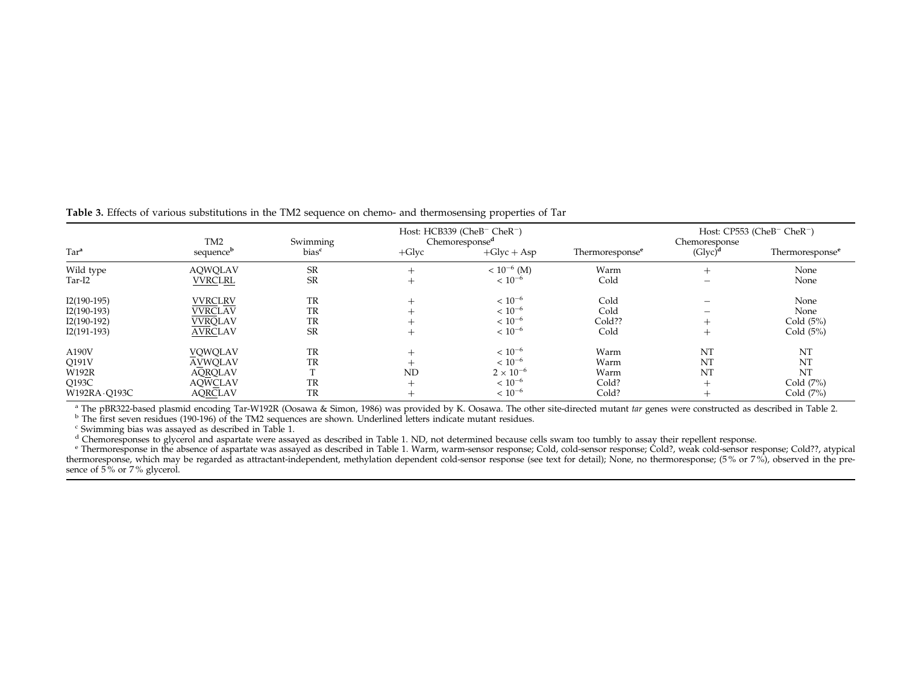| Tar <sup>a</sup>                                                 | TM <sub>2</sub><br>sequence <sup>b</sup>                                               | Swimming<br>bias <sup>c</sup> | $+G$ lyc               | Host: HCB339 (CheB <sup>-</sup> CheR <sup>-</sup> )<br>Chemoresponse <sup>d</sup><br>$+Glyc + Asp$ | Thermoresponse <sup>e</sup>            | Chemoresponse<br>(Glyc) <sup>d</sup> | Host: CP553 (CheB <sup>-</sup> CheR <sup>-</sup> )<br>Thermoresponse <sup>e</sup> |
|------------------------------------------------------------------|----------------------------------------------------------------------------------------|-------------------------------|------------------------|----------------------------------------------------------------------------------------------------|----------------------------------------|--------------------------------------|-----------------------------------------------------------------------------------|
| Wild type<br>Tar-I2                                              | AQWQLAV<br><b>VVRCLRL</b>                                                              | <b>SR</b><br><b>SR</b>        |                        | $< 10^{-6}$ (M)<br>$< 10^{-6}$                                                                     | Warm<br>Cold                           |                                      | None<br>None                                                                      |
| $I2(190-195)$<br>$I2(190-193)$<br>$I2(190-192)$<br>$I2(191-193)$ | <b>VVRCLRV</b><br><b>VVRCLAV</b><br><b>VVRQLAV</b><br><b>AVRCLAV</b>                   | TR<br>TR<br>TR<br><b>SR</b>   | $\div$<br>÷            | $< 10^{-6}$<br>$< 10^{-6}$<br>$< 10^{-6}$<br>$< 10^{-6}$                                           | Cold<br>Cold<br>Cold??<br>Cold         | –                                    | None<br>None<br>Cold $(5%)$<br>Cold (5%)                                          |
| A190V<br>Q191V<br><b>W192R</b><br>Q193C<br>W192RA - Q193C        | <b>VQWQLAV</b><br><b>AVWQLAV</b><br><b>AQRQLAV</b><br><b>AQWCLAV</b><br><b>AQRCLAV</b> | TR<br>TR<br>TR<br>TR          | $^+$<br><b>ND</b><br>┷ | $< 10^{-6}$<br>$< 10^{-6}$<br>$2 \times 10^{-6}$<br>$< 10^{-6}$<br>$< 10^{-6}$                     | Warm<br>Warm<br>Warm<br>Cold?<br>Cold? | NT<br>NT<br>NT                       | NT<br>NT<br>NT<br>Cold $(7%)$<br>Cold (7%)                                        |

<span id="page-6-0"></span>Table 3. Effects of various substitutions in the TM2 sequence on chemo- and thermosensing properties of Tar

<sup>a</sup> The pBR322-based plasmid encoding Tar-W192R [\(Oosawa](#page-9-0) & Simon, 1986) was provided by K. Oosawa. The other site-directed mutant *tar* genes were constructed as described in [Table](#page-4-0) 2.

 $b$  The first seven residues (190-196) of the TM2 [sequences](#page-2-0) are shown. Underlined letters indicate mutant residues.

<sup>c</sup> Swimming bias was assayed as described in Table 1.

<sup>d</sup> Chemoresponses to glycerol and aspartate were assayed as described in [Table](#page-2-0) 1. ND, not determined because cells swam too tumbly to assay their repellent response.

e Thermoresponse in the absence of aspartate was assayed as described in [Table](#page-2-0) 1. Warm, warm-sensor response; Cold, cold-sensor response; Cold?, weak cold-sensor response; Cold??, atypical thermoresponse, which may be regarded as attractant-independent, methylation dependent cold-sensor response (see text for detail); None, no thermoresponse; (5 % or <sup>7</sup> %), observed in the presence of 5% or 7% glycerol.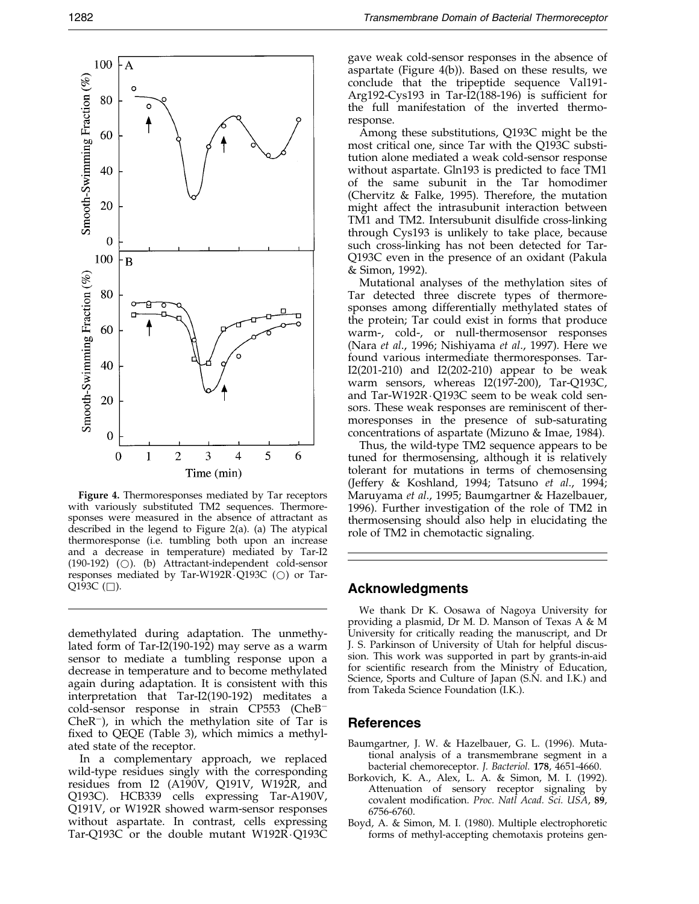<span id="page-7-0"></span>

Figure 4. Thermoresponses mediated by Tar receptors with variously substituted TM2 sequences. Thermoresponses were measured in the absence of attractant as described in the legend to [Figure 2\(a](#page-3-0)). (a) The atypical thermoresponse (i.e. tumbling both upon an increase and a decrease in temperature) mediated by Tar-I2 (190-192) ( $\bigcirc$ ). (b) Attractant-independent cold-sensor responses mediated by Tar-W192R $\cdot$ Q193C ( $\circ$ ) or Tar-Q193C  $(\Box)$ .

demethylated during adaptation. The unmethylated form of Tar-I2(190-192) may serve as a warm sensor to mediate a tumbling response upon a decrease in temperature and to become methylated again during adaptation. It is consistent with this interpretation that Tar-I2(190-192) meditates a cold-sensor response in strain CP553 (CheB<sup>-</sup> Che $R^-$ ), in which the methylation site of Tar is fixed to QEQE [\(Table 3\),](#page-6-0) which mimics a methylated state of the receptor.

In a complementary approach, we replaced wild-type residues singly with the corresponding residues from I2 (A190V, Q191V, W192R, and Q193C). HCB339 cells expressing Tar-A190V, Q191V, or W192R showed warm-sensor responses without aspartate. In contrast, cells expressing Tar-Q193C or the double mutant  $W192R\cdotQ193C$ 

gave weak cold-sensor responses in the absence of aspartate (Figure 4(b)). Based on these results, we conclude that the tripeptide sequence Val191- Arg192-Cys193 in Tar- $\overline{12(188-196)}$  is sufficient for the full manifestation of the inverted thermoresponse.

Among these substitutions, Q193C might be the most critical one, since Tar with the Q193C substitution alone mediated a weak cold-sensor response without aspartate. Gln193 is predicted to face TM1 of the same subunit in the Tar homodimer [\(Chervitz](#page-8-0) & Falke, 1995). Therefore, the mutation might affect the intrasubunit interaction between TM1 and TM2. Intersubunit disulfide cross-linking through Cys193 is unlikely to take place, because such cross-linking has not been detected for Tar-Q193C even in the presence of an oxidant [\(Pakula](#page-9-0) & Simon, 1992).

Mutational analyses of the methylation sites of Tar detected three discrete types of thermoresponses among differentially methylated states of the protein; Tar could exist in forms that produce warm-, cold-, or null-thermosensor responses [\(Nara](#page-8-0) et al., 1996; [Nishiyam](#page-8-0)a et al., 1997). Here we found various intermediate thermoresponses. Tar-I2(201-210) and I2(202-210) appear to be weak warm sensors, whereas I2(197-200), Tar-Q193C, and Tar-W192R $\cdot$ Q193C seem to be weak cold sensors. These weak responses are reminiscent of thermoresponses in the presence of sub-saturating concentrations of aspartate [\(Mizuno](#page-8-0) & Imae, 1984).

Thus, the wild-type TM2 sequence appears to be tuned for thermosensing, although it is relatively tolerant for mutations in terms of chemosensing [\(Jeffery &](#page-8-0) Koshland, 1994; [Tatsuno](#page-9-0) et al., 1994; [Maruyam](#page-8-0)a et al., 1995; Baumgartner & Hazelbauer, 1996). Further investigation of the role of TM2 in thermosensing should also help in elucidating the role of TM2 in chemotactic signaling.

## Acknowledgments

We thank Dr K. Oosawa of Nagoya University for providing a plasmid, Dr M. D. Manson of Texas A & M University for critically reading the manuscript, and Dr J. S. Parkinson of University of Utah for helpful discussion. This work was supported in part by grants-in-aid for scientific research from the Ministry of Education, Science, Sports and Culture of Japan (S.N. and I.K.) and from Takeda Science Foundation (I.K.).

## References

- Baumgartner, J. W. & Hazelbauer, G. L. (1996). Mutational analysis of a transmembrane segment in a bacterial chemoreceptor. J. Bacteriol. 178, 4651-4660.
- Borkovich, K. A., Alex, L. A. & Simon, M. I. (1992). Attenuation of sensory receptor signaling by covalent modification. Proc. Natl Acad. Sci. USA, 89, 6756-6760.
- Boyd, A. & Simon, M. I. (1980). Multiple electrophoretic forms of methyl-accepting chemotaxis proteins gen-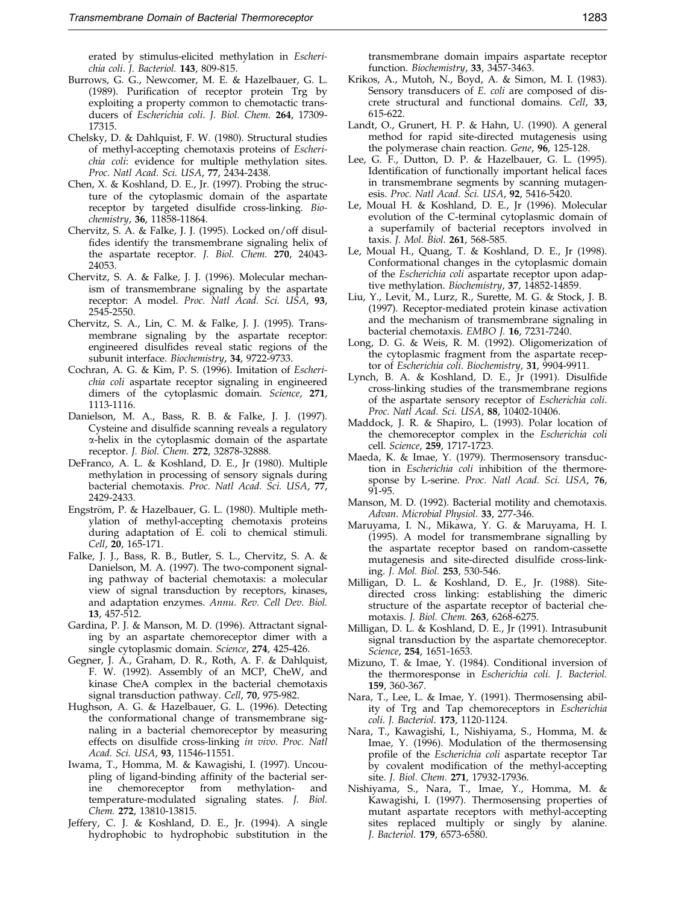erated by stimulus-elicited methylation in Escherichia coli. J. Bacteriol. 143, 809-815.

- <span id="page-8-0"></span>Burrows, G. G., Newcomer, M. E. & Hazelbauer, G. L. (1989). Purification of receptor protein Trg by exploiting a property common to chemotactic transducers of Escherichia coli. J. Biol. Chem. 264, 17309- 17315.
- Chelsky, D. & Dahlquist, F. W. (1980). Structural studies of methyl-accepting chemotaxis proteins of Escherichia coli: evidence for multiple methylation sites. Proc. Natl Acad. Sci. USA, 77, 2434-2438.
- Chen, X. & Koshland, D. E., Jr. (1997). Probing the structure of the cytoplasmic domain of the aspartate receptor by targeted disulfide cross-linking. Biochemistry, 36, 11858-11864.
- Chervitz, S. A. & Falke, J. J. (1995). Locked on/off disul fides identify the transmembrane signaling helix of the aspartate receptor. J. Biol. Chem. 270, 24043- 24053.
- Chervitz, S. A. & Falke, J. J. (1996). Molecular mechanism of transmembrane signaling by the aspartate receptor: A model. Proc. Natl Acad. Sci. USA, 93, 2545-2550.
- Chervitz, S. A., Lin, C. M. & Falke, J. J. (1995). Transmembrane signaling by the aspartate receptor: engineered disulfides reveal static regions of the subunit interface. Biochemistry, 34, 9722-9733.
- Cochran, A. G. & Kim, P. S. (1996). Imitation of Escherichia coli aspartate receptor signaling in engineered dimers of the cytoplasmic domain. Science, 271, 1113-1116.
- Danielson, M. A., Bass, R. B. & Falke, J. J. (1997). Cysteine and disulfide scanning reveals a regulatory a-helix in the cytoplasmic domain of the aspartate receptor. J. Biol. Chem. 272, 32878-32888.
- DeFranco, A. L. & Koshland, D. E., Jr (1980). Multiple methylation in processing of sensory signals during bacterial chemotaxis. Proc. Natl Acad. Sci. USA, 77, 2429-2433.
- Engström, P. & Hazelbauer, G. L. (1980). Multiple methylation of methyl-accepting chemotaxis proteins during adaptation of E. coli to chemical stimuli. Cell, 20, 165-171.
- Falke, J. J., Bass, R. B., Butler, S. L., Chervitz, S. A. & Danielson, M. A. (1997). The two-component signaling pathway of bacterial chemotaxis: a molecular view of signal transduction by receptors, kinases, and adaptation enzymes. Annu. Rev. Cell Dev. Biol. 13, 457-512.
- Gardina, P. J. & Manson, M. D. (1996). Attractant signaling by an aspartate chemoreceptor dimer with a single cytoplasmic domain. Science, 274, 425-426.
- Gegner, J. A., Graham, D. R., Roth, A. F. & Dahlquist, F. W. (1992). Assembly of an MCP, CheW, and kinase CheA complex in the bacterial chemotaxis signal transduction pathway. Cell, 70, 975-982.
- Hughson, A. G. & Hazelbauer, G. L. (1996). Detecting the conformational change of transmembrane signaling in a bacterial chemoreceptor by measuring effects on disulfide cross-linking in vivo. Proc. Natl Acad. Sci. USA, 93, 11546-11551.
- Iwama, T., Homma, M. & Kawagishi, I. (1997). Uncoupling of ligand-binding affinity of the bacterial serine chemoreceptor from methylation- and temperature-modulated signaling states. J. Biol. Chem. 272, 13810-13815.
- Jeffery, C. J. & Koshland, D. E., Jr. (1994). A single hydrophobic to hydrophobic substitution in the

transmembrane domain impairs aspartate receptor function. Biochemistry, 33, 3457-3463.

- Krikos, A., Mutoh, N., Boyd, A. & Simon, M. I. (1983). Sensory transducers of *E. coli* are composed of discrete structural and functional domains. Cell, 33, 615-622.
- Landt, O., Grunert, H. P. & Hahn, U. (1990). A general method for rapid site-directed mutagenesis using the polymerase chain reaction. Gene, 96, 125-128.
- Lee, G. F., Dutton, D. P. & Hazelbauer, G. L. (1995). Identification of functionally important helical faces in transmembrane segments by scanning mutagenesis. Proc. Natl Acad. Sci. USA, 92, 5416-5420.
- Le, Moual H. & Koshland, D. E., Jr (1996). Molecular evolution of the C-terminal cytoplasmic domain of a superfamily of bacterial receptors involved in taxis. J. Mol. Biol. 261, 568-585.
- Le, Moual H., Quang, T. & Koshland, D. E., Jr (1998). Conformational changes in the cytoplasmic domain of the Escherichia coli aspartate receptor upon adaptive methylation. Biochemistry, 37, 14852-14859.
- Liu, Y., Levit, M., Lurz, R., Surette, M. G. & Stock, J. B. (1997). Receptor-mediated protein kinase activation and the mechanism of transmembrane signaling in bacterial chemotaxis. EMBO J. 16, 7231-7240.
- Long, D. G. & Weis, R. M. (1992). Oligomerization of the cytoplasmic fragment from the aspartate receptor of Escherichia coli. Biochemistry, 31, 9904-9911.
- Lynch, B. A. & Koshland, D. E., Jr (1991). Disulfide cross-linking studies of the transmembrane regions of the aspartate sensory receptor of Escherichia coli. Proc. Natl Acad. Sci. USA, 88, 10402-10406.
- Maddock, J. R. & Shapiro, L. (1993). Polar location of the chemoreceptor complex in the Escherichia coli cell. Science, 259, 1717-1723.
- Maeda, K. & Imae, Y. (1979). Thermosensory transduction in Escherichia coli inhibition of the thermoresponse by L-serine. Proc. Natl Acad. Sci. USA, 76, 91-95.
- Manson, M. D. (1992). Bacterial motility and chemotaxis. Advan. Microbial Physiol. 33, 277-346.
- Maruyama, I. N., Mikawa, Y. G. & Maruyama, H. I. (1995). A model for transmembrane signalling by the aspartate receptor based on random-cassette mutagenesis and site-directed disulfide cross-linking. J. Mol. Biol. 253, 530-546.
- Milligan, D. L. & Koshland, D. E., Jr. (1988). Sitedirected cross linking: establishing the dimeric structure of the aspartate receptor of bacterial chemotaxis. J. Biol. Chem. 263, 6268-6275.
- Milligan, D. L. & Koshland, D. E., Jr (1991). Intrasubunit signal transduction by the aspartate chemoreceptor. Science, 254, 1651-1653.
- Mizuno, T. & Imae, Y. (1984). Conditional inversion of the thermoresponse in Escherichia coli. J. Bacteriol. 159, 360-367.
- Nara, T., Lee, L. & Imae, Y. (1991). Thermosensing ability of Trg and Tap chemoreceptors in Escherichia coli. J. Bacteriol. 173, 1120-1124.
- Nara, T., Kawagishi, I., Nishiyama, S., Homma, M. & Imae, Y. (1996). Modulation of the thermosensing profile of the *Escherichia coli* aspartate receptor Tar by covalent modification of the methyl-accepting site. J. Biol. Chem. 271, 17932-17936.
- Nishiyama, S., Nara, T., Imae, Y., Homma, M. & Kawagishi, I. (1997). Thermosensing properties of mutant aspartate receptors with methyl-accepting sites replaced multiply or singly by alanine. J. Bacteriol. 179, 6573-6580.